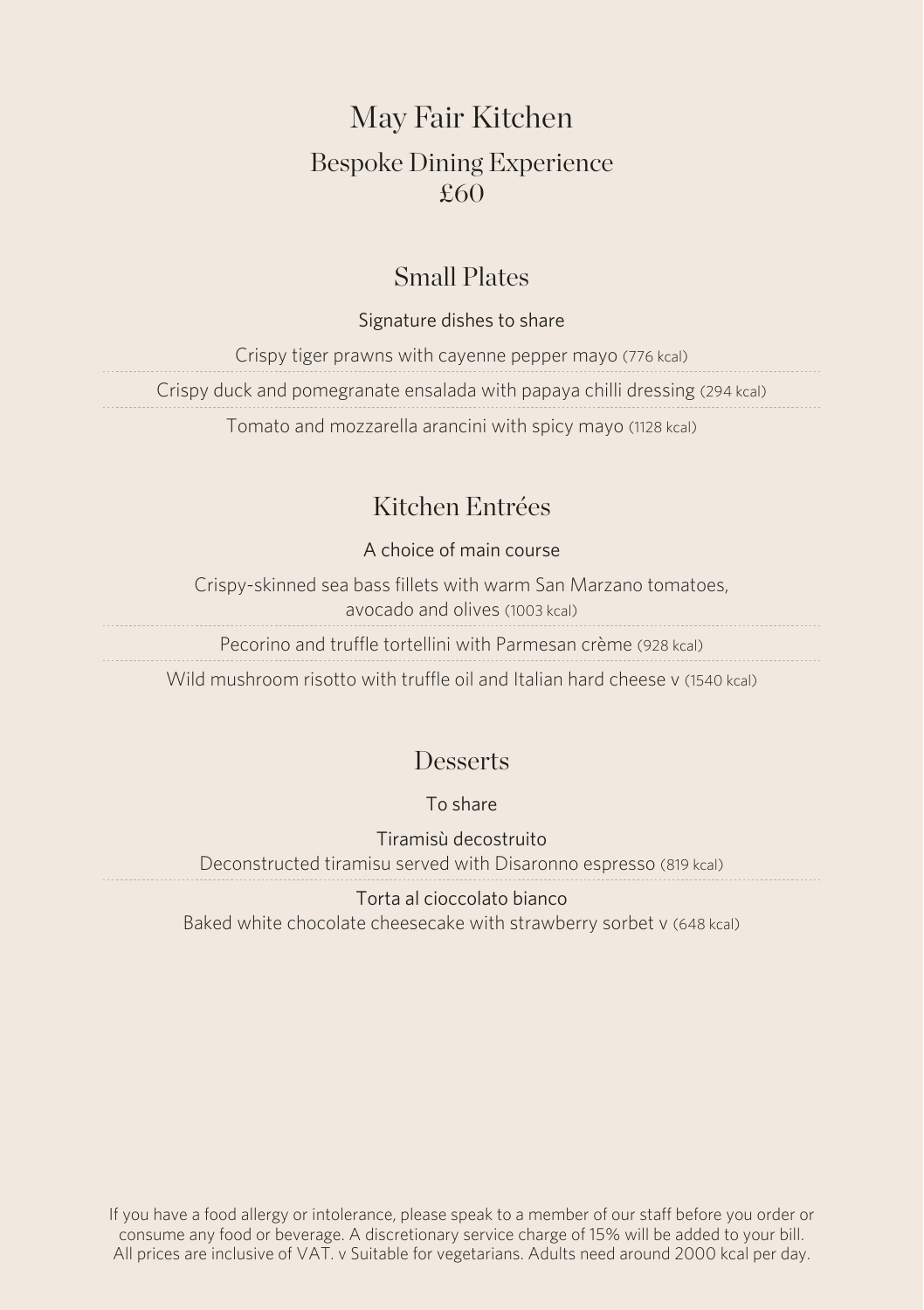# May Fair Kitchen Bespoke Dining Experience £60

## Small Plates

### Signature dishes to share

Crispy tiger prawns with cayenne pepper mayo (776 kcal)

Crispy duck and pomegranate ensalada with papaya chilli dressing (294 kcal)

Tomato and mozzarella arancini with spicy mayo (1128 kcal)

## Kitchen Entrées

### A choice of main course

Crispy-skinned sea bass fillets with warm San Marzano tomatoes,

avocado and olives (1003 kcal)

Pecorino and truffle tortellini with Parmesan crème (928 kcal)

Wild mushroom risotto with truffle oil and Italian hard cheese v (1540 kcal)

### **Desserts**

To share

Tiramisù decostruito Deconstructed tiramisu served with Disaronno espresso (819 kcal)

Torta al cioccolato bianco Baked white chocolate cheesecake with strawberry sorbet v (648 kcal)

If you have a food allergy or intolerance, please speak to a member of our staff before you order or consume any food or beverage. A discretionary service charge of 15% will be added to your bill. All prices are inclusive of VAT. v Suitable for vegetarians. Adults need around 2000 kcal per day.